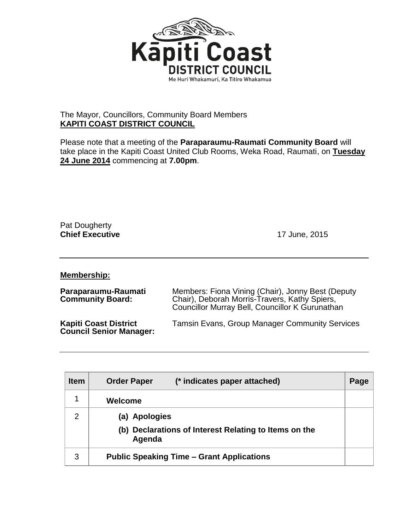

## The Mayor, Councillors, Community Board Members **KAPITI COAST DISTRICT COUNCIL**

Please note that a meeting of the **Paraparaumu-Raumati Community Board** will take place in the Kapiti Coast United Club Rooms, Weka Road, Raumati, on **Tuesday 24 June 2014** commencing at **7.00pm**.

Pat Dougherty **Chief Executive** 17 June, 2015

**Membership:**

| Paraparaumu-Raumati<br><b>Community Board:</b>                 | Members: Fiona Vining (Chair), Jonny Best (Deputy<br>Chair), Deborah Morris-Travers, Kathy Spiers,<br>Councillor Murray Bell, Councillor K Gurunathan |
|----------------------------------------------------------------|-------------------------------------------------------------------------------------------------------------------------------------------------------|
| <b>Kapiti Coast District</b><br><b>Council Senior Manager:</b> | <b>Tamsin Evans, Group Manager Community Services</b>                                                                                                 |

| <b>Item</b> | <b>Order Paper</b><br>(* indicates paper attached)              | Page |
|-------------|-----------------------------------------------------------------|------|
|             | Welcome                                                         |      |
| 2           | (a) Apologies                                                   |      |
|             | (b) Declarations of Interest Relating to Items on the<br>Agenda |      |
| 3           | <b>Public Speaking Time – Grant Applications</b>                |      |